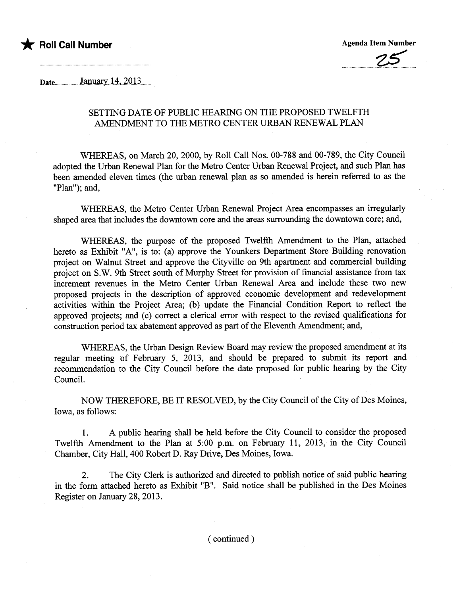



 $\mu_{\text{Date}}$  January 14, 2013

## SETTING DATE OF PUBLIC HEARING ON THE PROPOSED TWELFTH AMENDMENT TO THE METRO CENTER URBAN RENEWAL PLAN

WHREAS, on March 20, 2000, by Roll Call Nos. 00-788 and 00-789, the City Council adopted the Urban Renewal Plan for the Metro Center Urban Renewal Project, and such Plan has been amended eleven times (the urban renewal plan as so amended is herein referred to as the "Plan"); and,

WHEREAS, the Metro Center Urban Renewal Project Area encompasses an irregularly shaped area that includes the downtown core and the areas surounding the downtown core; and,

WHEREAS, the purose of the proposed Twelfth Amendment to the Plan, attached hereto as Exhibit "A", is to: (a) approve the Younkers Department Store Building renovation project on Walnut Street and approve the Cityville on 9th apartment and commercial building project on S.W. 9th Street south of Murphy Street for provision of financial assistance from tax increment revenues in the Metro Center Urban Renewal Area and include these two new proposed projects in the description of approved economic development and redevelopment activities within the Project Area; (b) update the Financial Condition Report to reflect the approved projects; and (c) correct a clerical error with respect to the revised qualifications for construction period tax abatement approved as part of the Eleventh Amendment; and,

WHEREAS, the Urban Design Review Board may review the proposed amendment at its regular meeting of February 5, 2013, and should be prepared to submit its report and recommendation to the City Council before the date proposed for public hearng by the City CounciL.

NOW THEREFORE, BE IT RESOLVED, by the City Council of the City of Des Moines, Iowa, as follows:

1. A public hearng shall be held before the City Council to consider the proposed Twelfth Amendment to the Plan at 5:00 p.m. on February 11, 2013, in the City Council Chamber, City Hall, 400 Robert D. Ray Drive, Des Moines, Iowa.

2. The City Clerk is authorized and directed to publish notice of said public hearng in the form attached hereto as Exhibit "B". Said notice shall be published in the Des Moines Register on January 28, 2013.